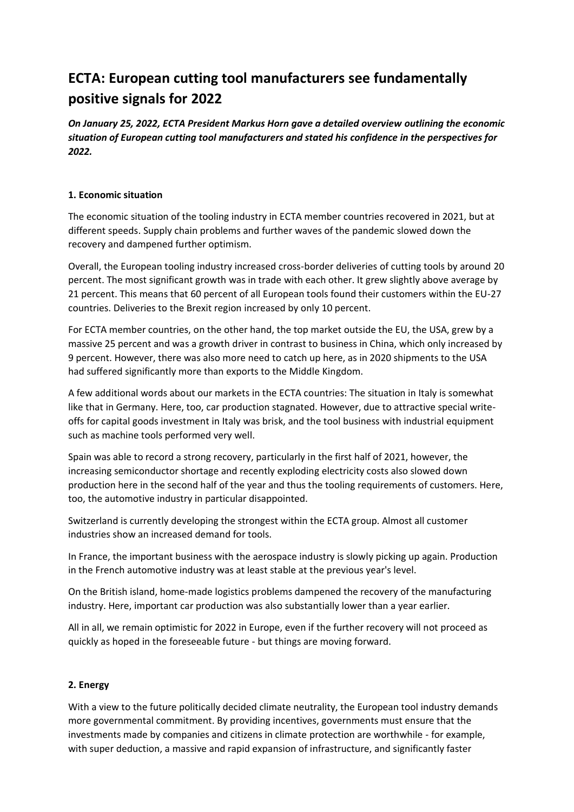# **ECTA: European cutting tool manufacturers see fundamentally positive signals for 2022**

*On January 25, 2022, ECTA President Markus Horn gave a detailed overview outlining the economic situation of European cutting tool manufacturers and stated his confidence in the perspectives for 2022.*

#### **1. Economic situation**

The economic situation of the tooling industry in ECTA member countries recovered in 2021, but at different speeds. Supply chain problems and further waves of the pandemic slowed down the recovery and dampened further optimism.

Overall, the European tooling industry increased cross-border deliveries of cutting tools by around 20 percent. The most significant growth was in trade with each other. It grew slightly above average by 21 percent. This means that 60 percent of all European tools found their customers within the EU-27 countries. Deliveries to the Brexit region increased by only 10 percent.

For ECTA member countries, on the other hand, the top market outside the EU, the USA, grew by a massive 25 percent and was a growth driver in contrast to business in China, which only increased by 9 percent. However, there was also more need to catch up here, as in 2020 shipments to the USA had suffered significantly more than exports to the Middle Kingdom.

A few additional words about our markets in the ECTA countries: The situation in Italy is somewhat like that in Germany. Here, too, car production stagnated. However, due to attractive special writeoffs for capital goods investment in Italy was brisk, and the tool business with industrial equipment such as machine tools performed very well.

Spain was able to record a strong recovery, particularly in the first half of 2021, however, the increasing semiconductor shortage and recently exploding electricity costs also slowed down production here in the second half of the year and thus the tooling requirements of customers. Here, too, the automotive industry in particular disappointed.

Switzerland is currently developing the strongest within the ECTA group. Almost all customer industries show an increased demand for tools.

In France, the important business with the aerospace industry is slowly picking up again. Production in the French automotive industry was at least stable at the previous year's level.

On the British island, home-made logistics problems dampened the recovery of the manufacturing industry. Here, important car production was also substantially lower than a year earlier.

All in all, we remain optimistic for 2022 in Europe, even if the further recovery will not proceed as quickly as hoped in the foreseeable future - but things are moving forward.

#### **2. Energy**

With a view to the future politically decided climate neutrality, the European tool industry demands more governmental commitment. By providing incentives, governments must ensure that the investments made by companies and citizens in climate protection are worthwhile - for example, with super deduction, a massive and rapid expansion of infrastructure, and significantly faster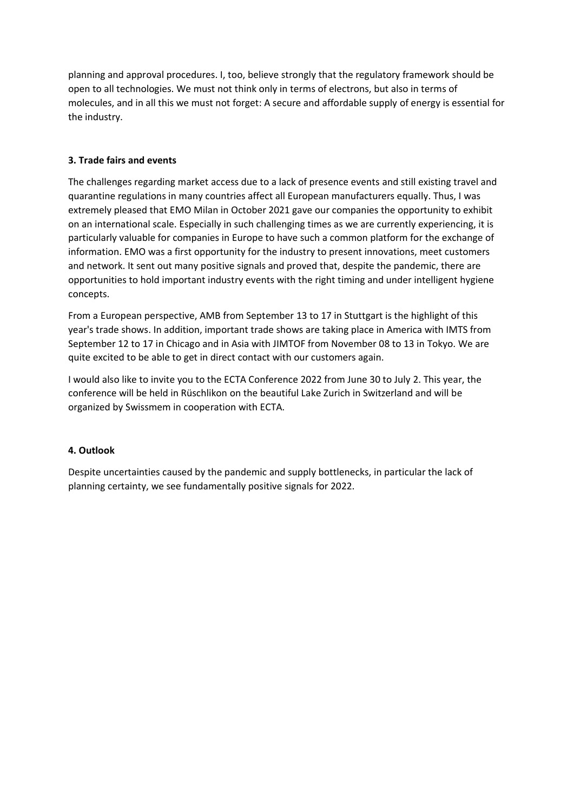planning and approval procedures. I, too, believe strongly that the regulatory framework should be open to all technologies. We must not think only in terms of electrons, but also in terms of molecules, and in all this we must not forget: A secure and affordable supply of energy is essential for the industry.

# **3. Trade fairs and events**

The challenges regarding market access due to a lack of presence events and still existing travel and quarantine regulations in many countries affect all European manufacturers equally. Thus, I was extremely pleased that EMO Milan in October 2021 gave our companies the opportunity to exhibit on an international scale. Especially in such challenging times as we are currently experiencing, it is particularly valuable for companies in Europe to have such a common platform for the exchange of information. EMO was a first opportunity for the industry to present innovations, meet customers and network. It sent out many positive signals and proved that, despite the pandemic, there are opportunities to hold important industry events with the right timing and under intelligent hygiene concepts.

From a European perspective, AMB from September 13 to 17 in Stuttgart is the highlight of this year's trade shows. In addition, important trade shows are taking place in America with IMTS from September 12 to 17 in Chicago and in Asia with JIMTOF from November 08 to 13 in Tokyo. We are quite excited to be able to get in direct contact with our customers again.

I would also like to invite you to the ECTA Conference 2022 from June 30 to July 2. This year, the conference will be held in Rüschlikon on the beautiful Lake Zurich in Switzerland and will be organized by Swissmem in cooperation with ECTA.

# **4. Outlook**

Despite uncertainties caused by the pandemic and supply bottlenecks, in particular the lack of planning certainty, we see fundamentally positive signals for 2022.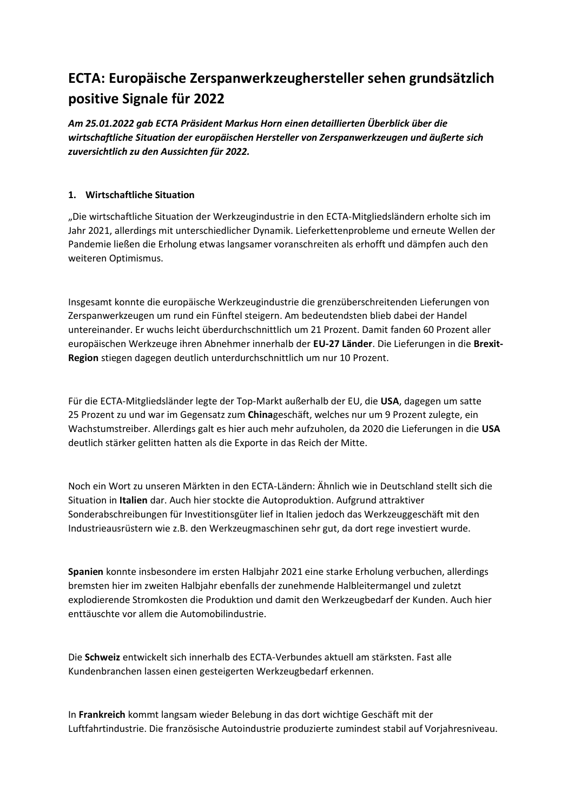# **ECTA: Europäische Zerspanwerkzeughersteller sehen grundsätzlich positive Signale für 2022**

*Am 25.01.2022 gab ECTA Präsident Markus Horn einen detaillierten Überblick über die wirtschaftliche Situation der europäischen Hersteller von Zerspanwerkzeugen und äußerte sich zuversichtlich zu den Aussichten für 2022.*

# **1. Wirtschaftliche Situation**

"Die wirtschaftliche Situation der Werkzeugindustrie in den ECTA-Mitgliedsländern erholte sich im Jahr 2021, allerdings mit unterschiedlicher Dynamik. Lieferkettenprobleme und erneute Wellen der Pandemie ließen die Erholung etwas langsamer voranschreiten als erhofft und dämpfen auch den weiteren Optimismus.

Insgesamt konnte die europäische Werkzeugindustrie die grenzüberschreitenden Lieferungen von Zerspanwerkzeugen um rund ein Fünftel steigern. Am bedeutendsten blieb dabei der Handel untereinander. Er wuchs leicht überdurchschnittlich um 21 Prozent. Damit fanden 60 Prozent aller europäischen Werkzeuge ihren Abnehmer innerhalb der **EU-27 Länder**. Die Lieferungen in die **Brexit-Region** stiegen dagegen deutlich unterdurchschnittlich um nur 10 Prozent.

Für die ECTA-Mitgliedsländer legte der Top-Markt außerhalb der EU, die **USA**, dagegen um satte 25 Prozent zu und war im Gegensatz zum **China**geschäft, welches nur um 9 Prozent zulegte, ein Wachstumstreiber. Allerdings galt es hier auch mehr aufzuholen, da 2020 die Lieferungen in die **USA** deutlich stärker gelitten hatten als die Exporte in das Reich der Mitte.

Noch ein Wort zu unseren Märkten in den ECTA-Ländern: Ähnlich wie in Deutschland stellt sich die Situation in **Italien** dar. Auch hier stockte die Autoproduktion. Aufgrund attraktiver Sonderabschreibungen für Investitionsgüter lief in Italien jedoch das Werkzeuggeschäft mit den Industrieausrüstern wie z.B. den Werkzeugmaschinen sehr gut, da dort rege investiert wurde.

**Spanien** konnte insbesondere im ersten Halbjahr 2021 eine starke Erholung verbuchen, allerdings bremsten hier im zweiten Halbjahr ebenfalls der zunehmende Halbleitermangel und zuletzt explodierende Stromkosten die Produktion und damit den Werkzeugbedarf der Kunden. Auch hier enttäuschte vor allem die Automobilindustrie.

Die **Schweiz** entwickelt sich innerhalb des ECTA-Verbundes aktuell am stärksten. Fast alle Kundenbranchen lassen einen gesteigerten Werkzeugbedarf erkennen.

In **Frankreich** kommt langsam wieder Belebung in das dort wichtige Geschäft mit der Luftfahrtindustrie. Die französische Autoindustrie produzierte zumindest stabil auf Vorjahresniveau.